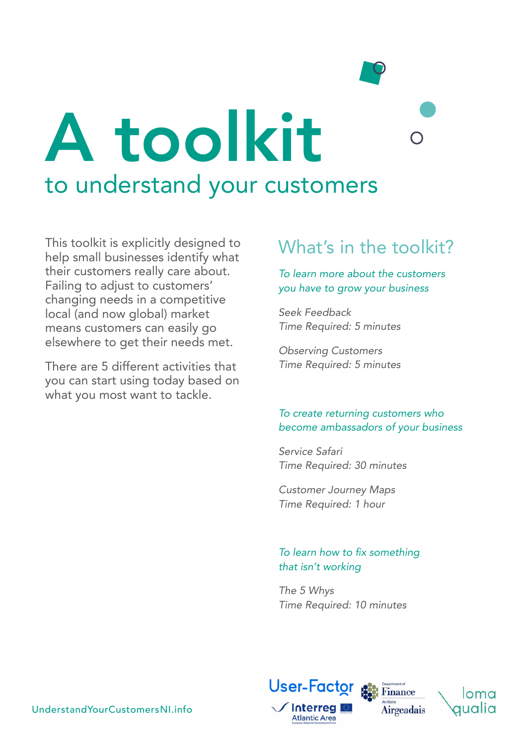# to understand your customers A toolkit

This toolkit is explicitly designed to help small businesses identify what their customers really care about. Failing to adjust to customers' changing needs in a competitive local (and now global) market means customers can easily go elsewhere to get their needs met.

There are 5 different activities that you can start using today based on what you most want to tackle.

#### What's in the toolkit?

#### *To learn more about the customers you have to grow your business*

*[Seek Feedback](#page-1-0) [Time Required: 5 minutes](#page-1-0)*

*[Observing Customers](#page-4-0) [Time Required: 5 minutes](#page-4-0)*

#### *To create returning customers who become ambassadors of your business*

*[Service Safari](#page-6-0) [Time Required: 30 minutes](#page-6-0)*

*[Customer Journey Maps](#page-8-0) [Time Required: 1 hour](#page-8-0)*

#### To learn how to fix something *that isn't working*

*[The 5 Whys](#page-13-0) [Time Required: 10 minutes](#page-13-0)*



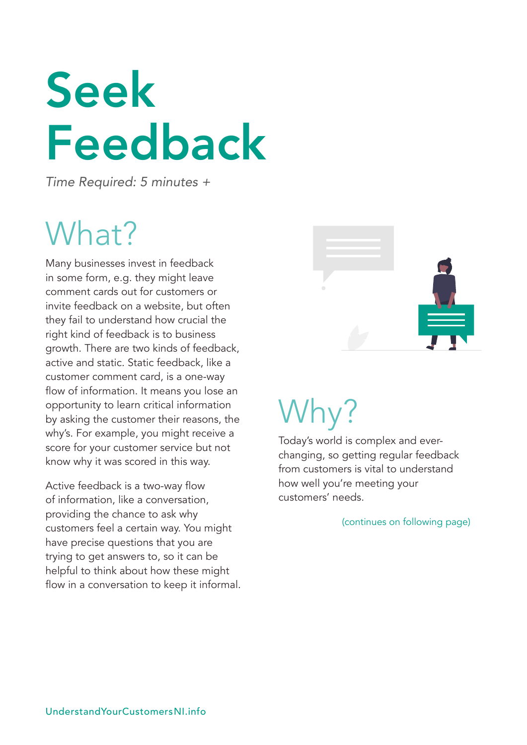## <span id="page-1-0"></span>Seek Feedback

*Time Required: 5 minutes +*

### What?

Many businesses invest in feedback in some form, e.g. they might leave comment cards out for customers or invite feedback on a website, but often they fail to understand how crucial the right kind of feedback is to business growth. There are two kinds of feedback, active and static. Static feedback, like a customer comment card, is a one-way flow of information. It means you lose an opportunity to learn critical information by asking the customer their reasons, the why's. For example, you might receive a score for your customer service but not know why it was scored in this way.

Active feedback is a two-way flow of information, like a conversation, providing the chance to ask why customers feel a certain way. You might have precise questions that you are trying to get answers to, so it can be helpful to think about how these might flow in a conversation to keep it informal.



### Why?

Today's world is complex and everchanging, so getting regular feedback from customers is vital to understand how well you're meeting your customers' needs.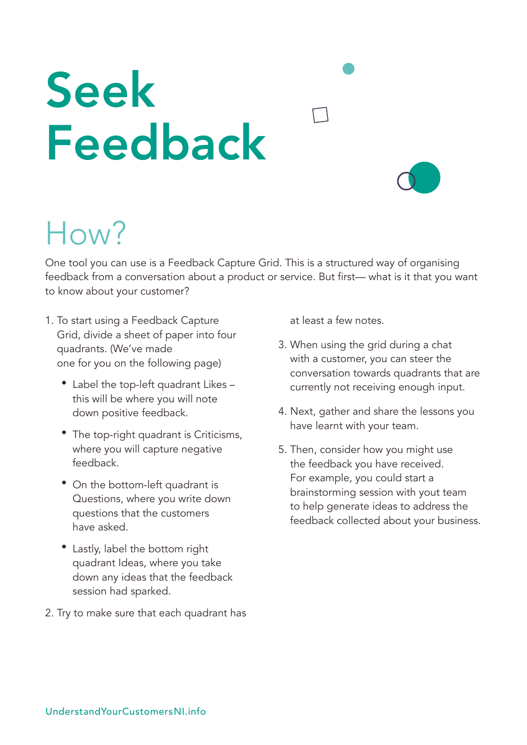## Seek Feedback

### How?

One tool you can use is a Feedback Capture Grid. This is a structured way of organising feedback from a conversation about a product or service. But first— what is it that you want to know about your customer?

- 1. To start using a Feedback Capture Grid, divide a sheet of paper into four quadrants. (We've made one for you on the following page)
	- Label the top-left quadrant Likes this will be where you will note down positive feedback.
	- The top-right quadrant is Criticisms, where you will capture negative feedback.
	- On the bottom-left quadrant is Questions, where you write down questions that the customers have asked.
	- Lastly, label the bottom right quadrant Ideas, where you take down any ideas that the feedback session had sparked.
- 2. Try to make sure that each quadrant has

at least a few notes.

- 3. When using the grid during a chat with a customer, you can steer the conversation towards quadrants that are currently not receiving enough input.
- 4. Next, gather and share the lessons you have learnt with your team.
- 5. Then, consider how you might use the feedback you have received. For example, you could start a brainstorming session with yout team to help generate ideas to address the feedback collected about your business.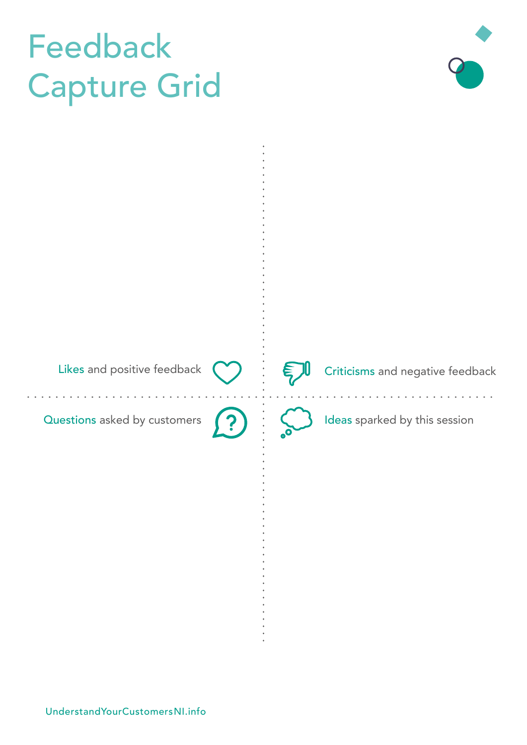### Feedback Capture Grid

Likes and positive feedback  $\bigcirc$   $\vdots$   $\bigcirc$  Criticisms and negative feedback

Questions asked by customers  $\binom{2}{1}$  : (deas sparked by this session

<u> 1999 - Johann John Stoff, market fra 1999 - Stoff av det større større større større større større større stør</u>

. . . . . . . . . . . . . . .

[UnderstandYourCustomersNI.info](http://www.UnderstandYourCustomersNI.info)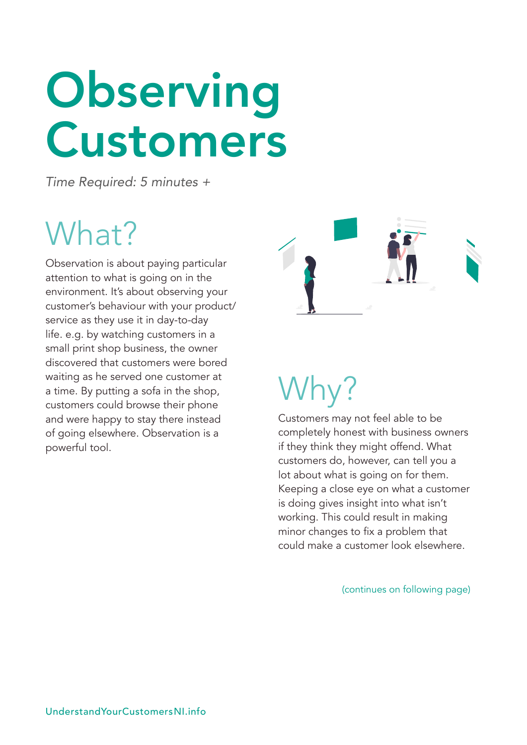## <span id="page-4-0"></span>**Observing** Customers

*Time Required: 5 minutes +*

### What?

Observation is about paying particular attention to what is going on in the environment. It's about observing your customer's behaviour with your product/ service as they use it in day-to-day life. e.g. by watching customers in a small print shop business, the owner discovered that customers were bored waiting as he served one customer at a time. By putting a sofa in the shop, customers could browse their phone and were happy to stay there instead of going elsewhere. Observation is a powerful tool.



### Why?

Customers may not feel able to be completely honest with business owners if they think they might offend. What customers do, however, can tell you a lot about what is going on for them. Keeping a close eye on what a customer is doing gives insight into what isn't working. This could result in making minor changes to fix a problem that could make a customer look elsewhere.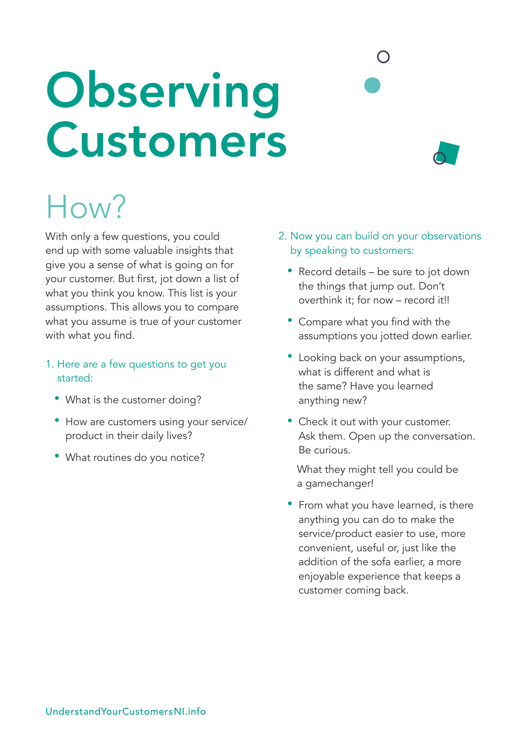## **Observing** Customers

#### How?

With only a few questions, you could end up with some valuable insights that give you a sense of what is going on for your customer. But first, jot down a list of what you think you know. This list is your assumptions. This allows you to compare what you assume is true of your customer with what you find.

- 1. Here are a few questions to get you started:
	- What is the customer doing?
	- How are customers using your service/ product in their daily lives?
	- What routines do you notice?
- 2. Now you can build on your observations by speaking to customers:
	- Record details be sure to jot down the things that jump out. Don't overthink it; for now – record it!!
	- Compare what you find with the assumptions you jotted down earlier.
	- Looking back on your assumptions, what is different and what is the same? Have you learned anything new?
	- Check it out with your customer. Ask them. Open up the conversation. Be curious.

 What they might tell you could be a gamechanger!

• From what you have learned, is there anything you can do to make the service/product easier to use, more convenient, useful or, just like the addition of the sofa earlier, a more enjoyable experience that keeps a customer coming back.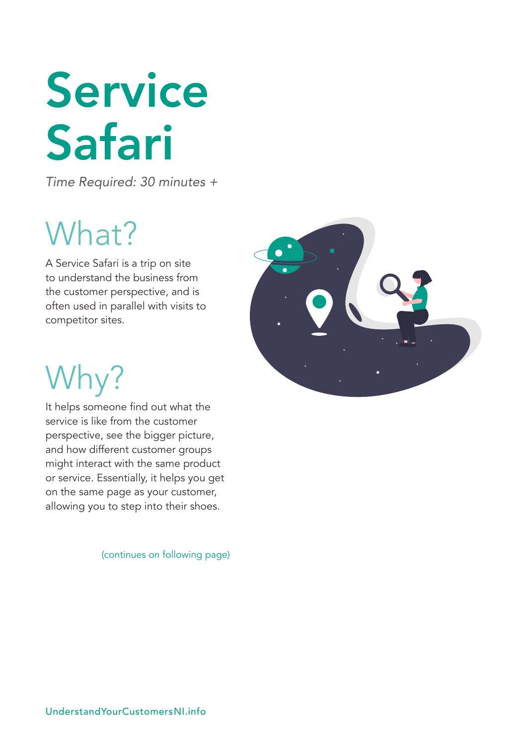## <span id="page-6-0"></span>Service Safari

*Time Required: 30 minutes +*

### What?

A Service Safari is a trip on site to understand the business from the customer perspective, and is often used in parallel with visits to competitor sites.



## Why?

It helps someone find out what the service is like from the customer perspective, see the bigger picture, and how different customer groups might interact with the same product or service. Essentially, it helps you get on the same page as your customer, allowing you to step into their shoes.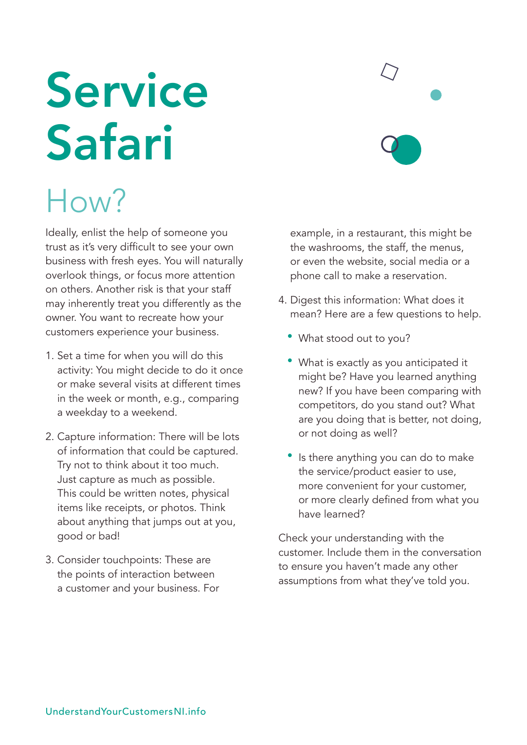## Service Safari

### How?

Ideally, enlist the help of someone you trust as it's very difficult to see your own business with fresh eyes. You will naturally overlook things, or focus more attention on others. Another risk is that your staff may inherently treat you differently as the owner. You want to recreate how your customers experience your business.

- 1. Set a time for when you will do this activity: You might decide to do it once or make several visits at different times in the week or month, e.g., comparing a weekday to a weekend.
- 2. Capture information: There will be lots of information that could be captured. Try not to think about it too much. Just capture as much as possible. This could be written notes, physical items like receipts, or photos. Think about anything that jumps out at you, good or bad!
- 3. Consider touchpoints: These are the points of interaction between a customer and your business. For

example, in a restaurant, this might be the washrooms, the staff, the menus, or even the website, social media or a phone call to make a reservation.

- 4. Digest this information: What does it mean? Here are a few questions to help.
	- What stood out to you?
	- What is exactly as you anticipated it might be? Have you learned anything new? If you have been comparing with competitors, do you stand out? What are you doing that is better, not doing, or not doing as well?
	- Is there anything you can do to make the service/product easier to use, more convenient for your customer, or more clearly defined from what you have learned?

Check your understanding with the customer. Include them in the conversation to ensure you haven't made any other assumptions from what they've told you.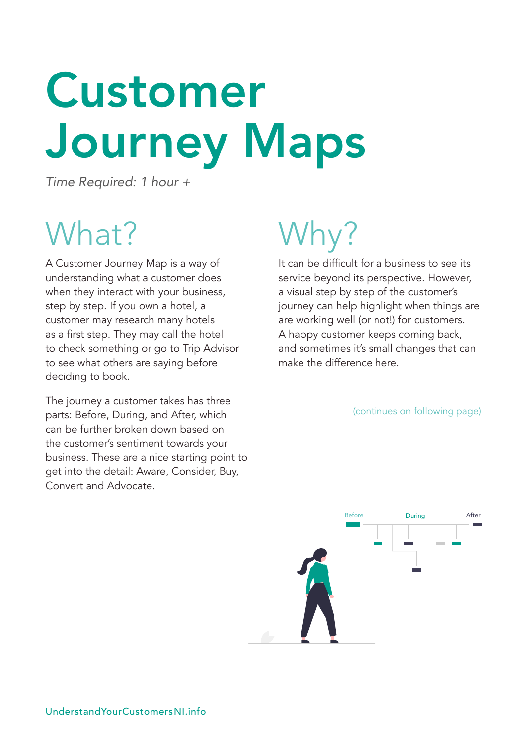## <span id="page-8-0"></span>Customer Journey Maps

*Time Required: 1 hour +*

### What?

A Customer Journey Map is a way of understanding what a customer does when they interact with your business, step by step. If you own a hotel, a customer may research many hotels as a first step. They may call the hotel to check something or go to Trip Advisor to see what others are saying before deciding to book.

The journey a customer takes has three parts: Before, During, and After, which can be further broken down based on the customer's sentiment towards your business. These are a nice starting point to get into the detail: Aware, Consider, Buy, Convert and Advocate.

## Why?

It can be difficult for a business to see its service beyond its perspective. However, a visual step by step of the customer's journey can help highlight when things are are working well (or not!) for customers. A happy customer keeps coming back, and sometimes it's small changes that can make the difference here.

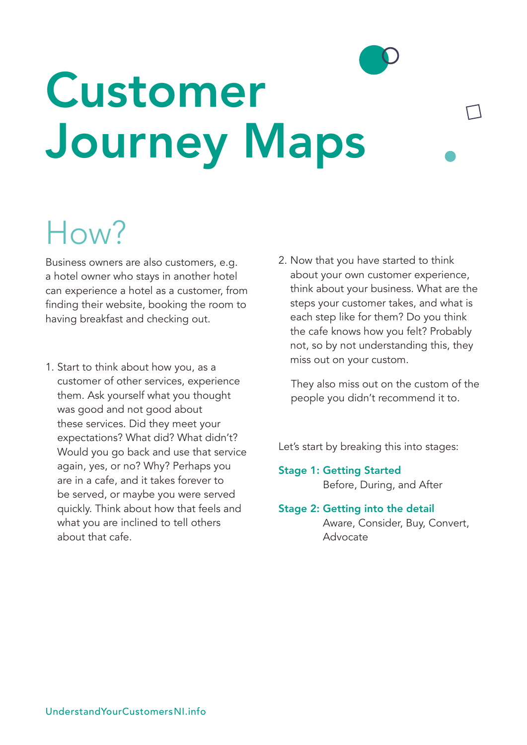## Customer Journey Maps

### How?

Business owners are also customers, e.g. a hotel owner who stays in another hotel can experience a hotel as a customer, from finding their website, booking the room to having breakfast and checking out.

- 1. Start to think about how you, as a customer of other services, experience them. Ask yourself what you thought was good and not good about these services. Did they meet your expectations? What did? What didn't? Would you go back and use that service again, yes, or no? Why? Perhaps you are in a cafe, and it takes forever to be served, or maybe you were served quickly. Think about how that feels and what you are inclined to tell others about that cafe.
- 2. Now that you have started to think about your own customer experience, think about your business. What are the steps your customer takes, and what is each step like for them? Do you think the cafe knows how you felt? Probably not, so by not understanding this, they miss out on your custom.

 They also miss out on the custom of the people you didn't recommend it to.

Let's start by breaking this into stages:

- Stage 1: Getting Started Before, During, and After
- Stage 2: Getting into the detail Aware, Consider, Buy, Convert,

Advocate

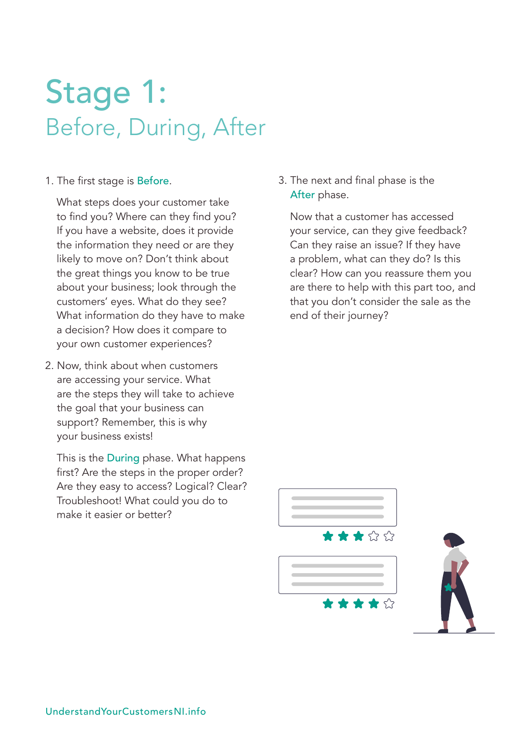#### Stage 1: Before, During, After

1. The first stage is Before.

 What steps does your customer take to find you? Where can they find you? If you have a website, does it provide the information they need or are they likely to move on? Don't think about the great things you know to be true about your business; look through the customers' eyes. What do they see? What information do they have to make a decision? How does it compare to your own customer experiences?

2. Now, think about when customers are accessing your service. What are the steps they will take to achieve the goal that your business can support? Remember, this is why your business exists!

 This is the During phase. What happens first? Are the steps in the proper order? Are they easy to access? Logical? Clear? Troubleshoot! What could you do to make it easier or better?

3. The next and final phase is the After phase.

 Now that a customer has accessed your service, can they give feedback? Can they raise an issue? If they have a problem, what can they do? Is this clear? How can you reassure them you are there to help with this part too, and that you don't consider the sale as the end of their journey?

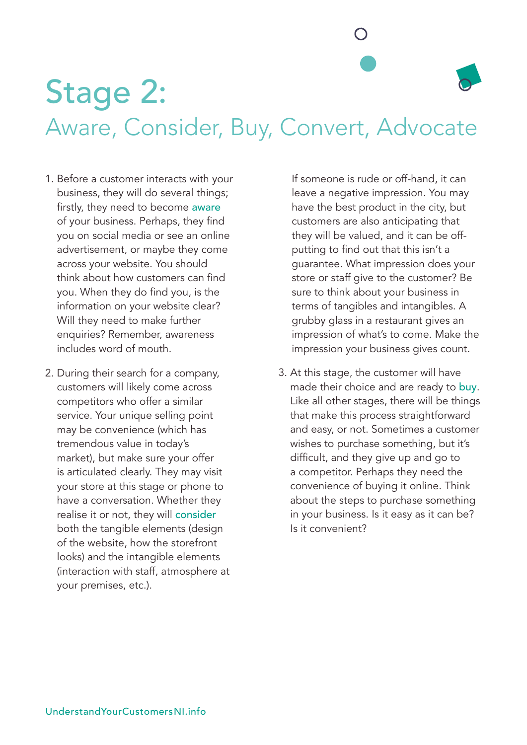Stage 2: Aware, Consider, Buy, Convert, Advocate

- 1. Before a customer interacts with your business, they will do several things; firstly, they need to become aware of your business. Perhaps, they find you on social media or see an online advertisement, or maybe they come across your website. You should think about how customers can find you. When they do find you, is the information on your website clear? Will they need to make further enquiries? Remember, awareness includes word of mouth.
- 2. During their search for a company, customers will likely come across competitors who offer a similar service. Your unique selling point may be convenience (which has tremendous value in today's market), but make sure your offer is articulated clearly. They may visit your store at this stage or phone to have a conversation. Whether they realise it or not, they will consider both the tangible elements (design of the website, how the storefront looks) and the intangible elements (interaction with staff, atmosphere at your premises, etc.).

If someone is rude or off-hand, it can leave a negative impression. You may have the best product in the city, but customers are also anticipating that they will be valued, and it can be offputting to find out that this isn't a guarantee. What impression does your store or staff give to the customer? Be sure to think about your business in terms of tangibles and intangibles. A grubby glass in a restaurant gives an impression of what's to come. Make the impression your business gives count.

3. At this stage, the customer will have made their choice and are ready to buy. Like all other stages, there will be things that make this process straightforward and easy, or not. Sometimes a customer wishes to purchase something, but it's difficult, and they give up and go to a competitor. Perhaps they need the convenience of buying it online. Think about the steps to purchase something in your business. Is it easy as it can be? Is it convenient?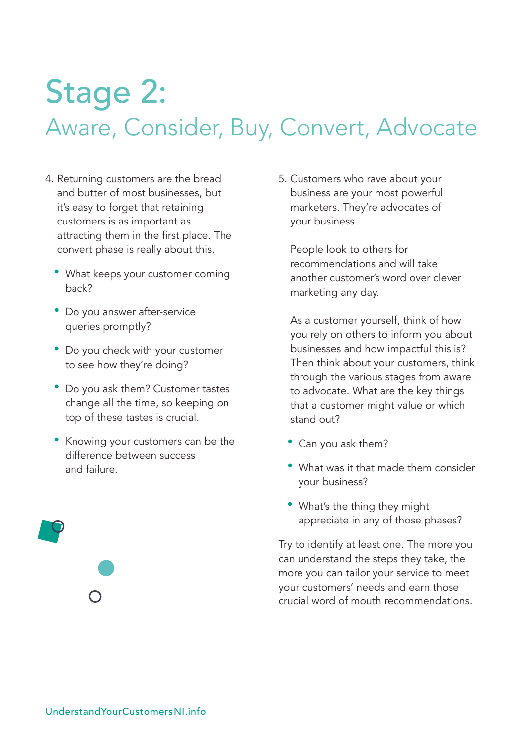#### Stage 2: Aware, Consider, Buy, Convert, Advocate

- 4. Returning customers are the bread and butter of most businesses, but it's easy to forget that retaining customers is as important as attracting them in the first place. The convert phase is really about this.
	- What keeps your customer coming back?
	- Do you answer after-service queries promptly?
	- Do you check with your customer to see how they're doing?
	- Do you ask them? Customer tastes change all the time, so keeping on top of these tastes is crucial.
	- Knowing your customers can be the difference between success and failure.

5. Customers who rave about your business are your most powerful marketers. They're advocates of your business.

People look to others for recommendations and will take another customer's word over clever marketing any day.

As a customer yourself, think of how you rely on others to inform you about businesses and how impactful this is? Then think about your customers, think through the various stages from aware to advocate. What are the key things that a customer might value or which stand out?

- Can you ask them?
- What was it that made them consider your business?
- What's the thing they might appreciate in any of those phases?

Try to identify at least one. The more you can understand the steps they take, the more you can tailor your service to meet your customers' needs and earn those crucial word of mouth recommendations.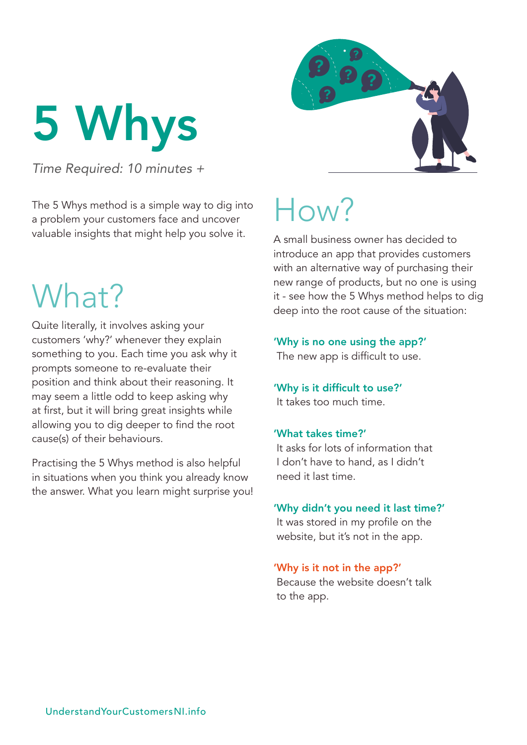<span id="page-13-0"></span>5 Whys

*Time Required: 10 minutes +*

The 5 Whys method is a simple way to dig into a problem your customers face and uncover valuable insights that might help you solve it.

#### What?

Quite literally, it involves asking your customers 'why?' whenever they explain something to you. Each time you ask why it prompts someone to re-evaluate their position and think about their reasoning. It may seem a little odd to keep asking why at first, but it will bring great insights while allowing you to dig deeper to find the root cause(s) of their behaviours.

Practising the 5 Whys method is also helpful in situations when you think you already know the answer. What you learn might surprise you!

### How?

A small business owner has decided to introduce an app that provides customers with an alternative way of purchasing their new range of products, but no one is using it - see how the 5 Whys method helps to dig deep into the root cause of the situation:

#### 'Why is no one using the app?'

The new app is difficult to use.

#### 'Why is it difficult to use?' It takes too much time.

#### 'What takes time?'

It asks for lots of information that I don't have to hand, as I didn't need it last time.

#### 'Why didn't you need it last time?'

It was stored in my profile on the website, but it's not in the app.

#### 'Why is it not in the app?'

Because the website doesn't talk to the app.